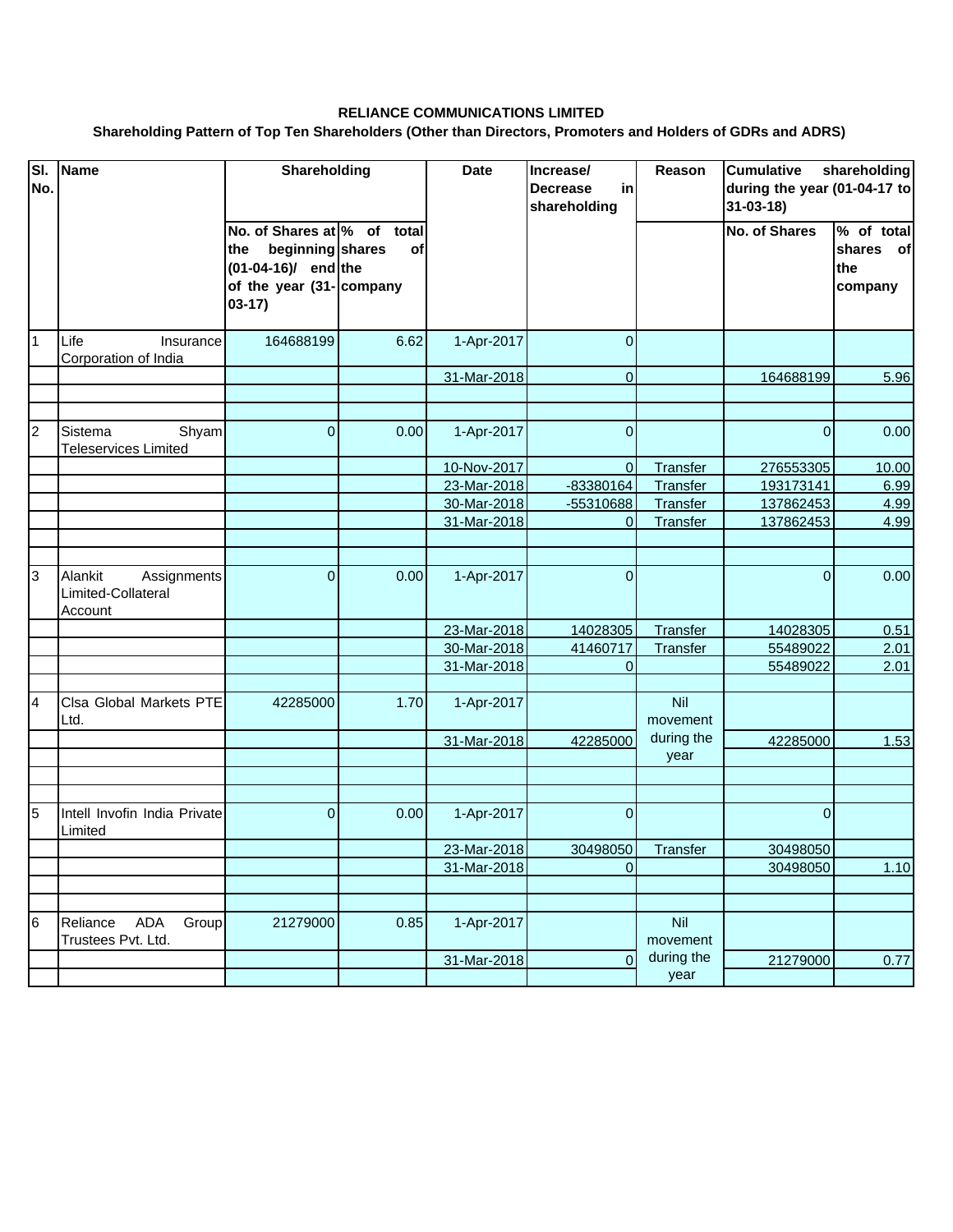## **RELIANCE COMMUNICATIONS LIMITED**

## **Shareholding Pattern of Top Ten Shareholders (Other than Directors, Promoters and Holders of GDRs and ADRS)**

| $\overline{\mathsf{SI}}$<br>No. | <b>Name</b>                                             | Shareholding                                                                                                           |      | <b>Date</b> | Increase/<br><b>Decrease</b><br>in<br>shareholding | Reason             | <b>Cumulative</b><br>shareholding<br>during the year (01-04-17 to<br>$31 - 03 - 18$ |                                                    |
|---------------------------------|---------------------------------------------------------|------------------------------------------------------------------------------------------------------------------------|------|-------------|----------------------------------------------------|--------------------|-------------------------------------------------------------------------------------|----------------------------------------------------|
|                                 |                                                         | No. of Shares at % of total<br>beginning shares<br>the<br>$(01-04-16)$ end the<br>of the year (31- company<br>$03-17)$ | οf   |             |                                                    |                    | <b>No. of Shares</b>                                                                | $\sqrt{6}$ of total<br>shares of<br>the<br>company |
| $\overline{1}$                  | Life<br>Insurance<br>Corporation of India               | 164688199                                                                                                              | 6.62 | 1-Apr-2017  | $\overline{0}$                                     |                    |                                                                                     |                                                    |
|                                 |                                                         |                                                                                                                        |      | 31-Mar-2018 | $\mathbf{0}$                                       |                    | 164688199                                                                           | 5.96                                               |
|                                 |                                                         |                                                                                                                        |      |             |                                                    |                    |                                                                                     |                                                    |
| $\overline{2}$                  | Sistema<br>Shyam<br><b>Teleservices Limited</b>         | $\overline{0}$                                                                                                         | 0.00 | 1-Apr-2017  | $\overline{0}$                                     |                    | $\mathbf{0}$                                                                        | 0.00                                               |
|                                 |                                                         |                                                                                                                        |      | 10-Nov-2017 | $\mathbf{0}$                                       | Transfer           | 276553305                                                                           | 10.00                                              |
|                                 |                                                         |                                                                                                                        |      | 23-Mar-2018 | -83380164                                          | Transfer           | 193173141                                                                           | 6.99                                               |
|                                 |                                                         |                                                                                                                        |      | 30-Mar-2018 | -55310688                                          | Transfer           | 137862453                                                                           | 4.99                                               |
|                                 |                                                         |                                                                                                                        |      | 31-Mar-2018 | $\mathbf 0$                                        | Transfer           | 137862453                                                                           | 4.99                                               |
|                                 |                                                         |                                                                                                                        |      |             |                                                    |                    |                                                                                     |                                                    |
| 3                               | Alankit<br>Assignments<br>Limited-Collateral<br>Account | $\overline{0}$                                                                                                         | 0.00 | 1-Apr-2017  | $\overline{0}$                                     |                    | $\overline{0}$                                                                      | 0.00                                               |
|                                 |                                                         |                                                                                                                        |      | 23-Mar-2018 | 14028305                                           | Transfer           | 14028305                                                                            | 0.51                                               |
|                                 |                                                         |                                                                                                                        |      | 30-Mar-2018 | 41460717                                           | Transfer           | 55489022                                                                            | 2.01                                               |
|                                 |                                                         |                                                                                                                        |      | 31-Mar-2018 | $\mathbf 0$                                        |                    | 55489022                                                                            | 2.01                                               |
| $\overline{4}$                  | Clsa Global Markets PTE<br>Ltd.                         | 42285000                                                                                                               | 1.70 | 1-Apr-2017  |                                                    | Nil<br>movement    |                                                                                     |                                                    |
|                                 |                                                         |                                                                                                                        |      | 31-Mar-2018 | 42285000                                           | during the         | 42285000                                                                            | 1.53                                               |
|                                 |                                                         |                                                                                                                        |      |             |                                                    | year               |                                                                                     |                                                    |
|                                 |                                                         |                                                                                                                        |      |             |                                                    |                    |                                                                                     |                                                    |
| 5                               | Intell Invofin India Private<br>Limited                 | $\Omega$                                                                                                               | 0.00 | 1-Apr-2017  | $\overline{0}$                                     |                    | $\Omega$                                                                            |                                                    |
|                                 |                                                         |                                                                                                                        |      | 23-Mar-2018 | 30498050                                           | Transfer           | 30498050                                                                            |                                                    |
|                                 |                                                         |                                                                                                                        |      | 31-Mar-2018 | 0                                                  |                    | 30498050                                                                            | 1.10                                               |
|                                 |                                                         |                                                                                                                        |      |             |                                                    |                    |                                                                                     |                                                    |
| 6                               | Group<br>Reliance<br>ADA<br>Trustees Pvt. Ltd.          | 21279000                                                                                                               | 0.85 | 1-Apr-2017  |                                                    | Nil<br>movement    |                                                                                     |                                                    |
|                                 |                                                         |                                                                                                                        |      | 31-Mar-2018 | $\overline{0}$                                     | during the<br>year | 21279000                                                                            | 0.77                                               |
|                                 |                                                         |                                                                                                                        |      |             |                                                    |                    |                                                                                     |                                                    |